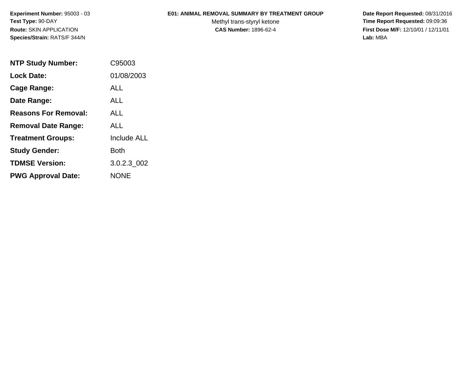**Experiment Number:** 95003 - 03**Test Type:** 90-DAY**Route:** SKIN APPLICATION**Species/Strain:** RATS/F 344/N

## **E01: ANIMAL REMOVAL SUMMARY BY TREATMENT GROUP**

Methyl trans-styryl ketone<br>CAS Number: 1896-62-4

 **Date Report Requested:** 08/31/2016 **Time Report Requested:** 09:09:36 **First Dose M/F:** 12/10/01 / 12/11/01<br>Lab: MBA **Lab:** MBA

| <b>NTP Study Number:</b>    | C95003             |
|-----------------------------|--------------------|
| <b>Lock Date:</b>           | 01/08/2003         |
| Cage Range:                 | ALL                |
| Date Range:                 | ALL                |
| <b>Reasons For Removal:</b> | ALL                |
| <b>Removal Date Range:</b>  | ALL                |
| <b>Treatment Groups:</b>    | <b>Include ALL</b> |
| <b>Study Gender:</b>        | Both               |
| <b>TDMSE Version:</b>       | 3.0.2.3 002        |
| <b>PWG Approval Date:</b>   | <b>NONE</b>        |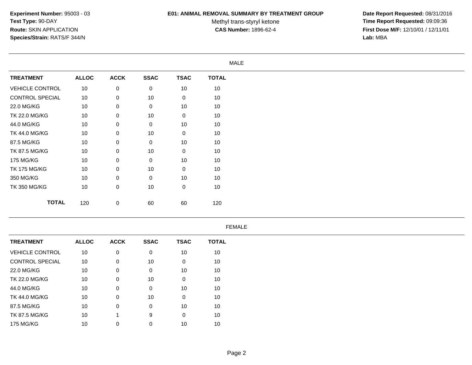## **E01: ANIMAL REMOVAL SUMMARY BY TREATMENT GROUP**

Methyl trans-styryl ketone<br>CAS Number: 1896-62-4

 **Date Report Requested:** 08/31/2016 **Time Report Requested:** 09:09:36 **First Dose M/F:** 12/10/01 / 12/11/01<br>Lab: MBA **Lab:** MBA

| <b>MALE</b>            |              |                 |             |                  |                  |              |  |
|------------------------|--------------|-----------------|-------------|------------------|------------------|--------------|--|
| <b>TREATMENT</b>       |              | <b>ALLOC</b>    | <b>ACCK</b> | <b>SSAC</b>      | <b>TSAC</b>      | <b>TOTAL</b> |  |
| <b>VEHICLE CONTROL</b> |              | 10 <sup>°</sup> | 0           | 0                | 10               | 10           |  |
| CONTROL SPECIAL        |              | 10 <sup>°</sup> | 0           | 10               | $\mathbf 0$      | 10           |  |
| 22.0 MG/KG             |              | 10              | 0           | $\mathbf 0$      | 10               | 10           |  |
| TK 22.0 MG/KG          |              | 10              | 0           | 10               | $\boldsymbol{0}$ | 10           |  |
| 44.0 MG/KG             |              | 10              | 0           | $\mathbf 0$      | 10               | $10$         |  |
| TK 44.0 MG/KG          |              | 10              | $\mathbf 0$ | 10               | $\mathbf 0$      | 10           |  |
| 87.5 MG/KG             |              | 10              | 0           | $\mathbf 0$      | 10               | 10           |  |
| TK 87.5 MG/KG          |              | 10              | 0           | 10               | $\mathbf 0$      | 10           |  |
| 175 MG/KG              |              | 10              | 0           | $\boldsymbol{0}$ | 10               | 10           |  |
| <b>TK 175 MG/KG</b>    |              | 10              | 0           | 10               | $\mathbf 0$      | 10           |  |
| 350 MG/KG              |              | 10              | 0           | $\mathbf 0$      | 10               | 10           |  |
| <b>TK 350 MG/KG</b>    |              | 10              | 0           | 10               | $\mathbf 0$      | 10           |  |
|                        | <b>TOTAL</b> | 120             | 0           | 60               | 60               | 120          |  |

## FEMALE

| <b>ALLOC</b> | <b>ACCK</b> | <b>SSAC</b> | <b>TSAC</b>  | <b>TOTAL</b> |
|--------------|-------------|-------------|--------------|--------------|
| 10           | 0           | 0           | 10           | 10           |
| 10           | 0           | 10          | $\mathbf{0}$ | 10           |
| 10           | 0           | 0           | 10           | 10           |
| 10           | 0           | 10          | 0            | 10           |
| 10           | 0           | 0           | 10           | 10           |
| 10           | 0           | 10          | 0            | 10           |
| 10           | 0           | $\mathbf 0$ | 10           | 10           |
| 10           |             | 9           | $\mathbf 0$  | 10           |
| 10           | 0           | 0           | 10           | 10           |
|              |             |             |              |              |